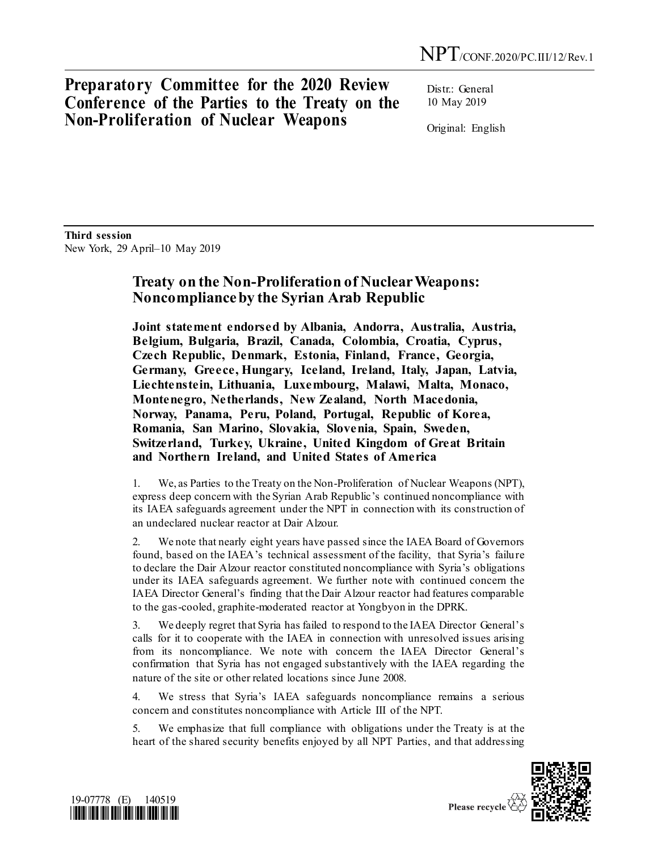**Preparatory Committee for the 2020 Review Conference of the Parties to the Treaty on the Non-Proliferation of Nuclear Weapons**

Distr.: General 10 May 2019

Original: English

**Third session**  New York, 29 April–10 May 2019

## **Treaty on the Non-Proliferation of Nuclear Weapons: Noncomplianceby the Syrian Arab Republic**

**Joint statement endorsed by Albania, Andorra, Australia, Austria, Belgium, Bulgaria, Brazil, Canada, Colombia, Croatia, Cyprus, Czech Republic, Denmark, Estonia, Finland, France, Georgia, Germany, Greece, Hungary, Iceland, Ireland, Italy, Japan, Latvia, Liechtenstein, Lithuania, Luxembourg, Malawi, Malta, Monaco, Montenegro, Netherlands, New Zealand, North Macedonia, Norway, Panama, Peru, Poland, Portugal, Republic of Korea, Romania, San Marino, Slovakia, Slovenia, Spain, Sweden, Switzerland, Turkey, Ukraine, United Kingdom of Great Britain and Northern Ireland, and United States of America**

1. We, as Parties to the Treaty on the Non-Proliferation of Nuclear Weapons (NPT), express deep concern with the Syrian Arab Republic's continued noncompliance with its IAEA safeguards agreement under the NPT in connection with its construction of an undeclared nuclear reactor at Dair Alzour.

2. We note that nearly eight years have passed since the IAEA Board of Governors found, based on the IAEA's technical assessment of the facility, that Syria's failure to declare the Dair Alzour reactor constituted noncompliance with Syria's obligations under its IAEA safeguards agreement. We further note with continued concern the IAEA Director General's finding that the Dair Alzour reactor had features comparable to the gas-cooled, graphite-moderated reactor at Yongbyon in the DPRK.

3. We deeply regret that Syria has failed to respond to the IAEA Director General's calls for it to cooperate with the IAEA in connection with unresolved issues arising from its noncompliance. We note with concern the IAEA Director General's confirmation that Syria has not engaged substantively with the IAEA regarding the nature of the site or other related locations since June 2008.

4. We stress that Syria's IAEA safeguards noncompliance remains a serious concern and constitutes noncompliance with Article III of the NPT.

5. We emphasize that full compliance with obligations under the Treaty is at the heart of the shared security benefits enjoyed by all NPT Parties, and that addressing